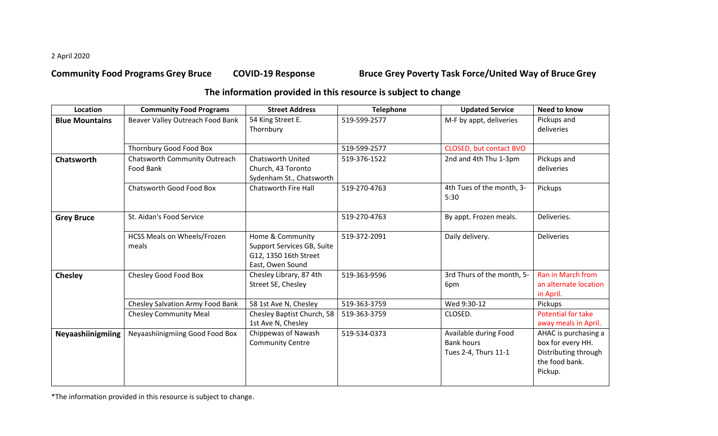2 April 2020

**Community Food Programs Grey Bruce COVID-19 Response Bruce Grey Poverty Task Force/United Way of BruceGrey**

## **The information provided in this resource is subject to change**

| Location              | <b>Community Food Programs</b>              | <b>Street Address</b>                                                                       | <b>Telephone</b> | <b>Updated Service</b>                                             | <b>Need to know</b>                                                                            |
|-----------------------|---------------------------------------------|---------------------------------------------------------------------------------------------|------------------|--------------------------------------------------------------------|------------------------------------------------------------------------------------------------|
| <b>Blue Mountains</b> | Beaver Valley Outreach Food Bank            | 54 King Street E.<br>Thornbury                                                              | 519-599-2577     | M-F by appt, deliveries                                            | Pickups and<br>deliveries                                                                      |
|                       | Thornbury Good Food Box                     |                                                                                             | 519-599-2577     | CLOSED, but contact BVO                                            |                                                                                                |
| Chatsworth            | Chatsworth Community Outreach<br>Food Bank  | <b>Chatsworth United</b><br>Church, 43 Toronto<br>Sydenham St., Chatsworth                  | 519-376-1522     | 2nd and 4th Thu 1-3pm                                              | Pickups and<br>deliveries                                                                      |
|                       | Chatsworth Good Food Box                    | <b>Chatsworth Fire Hall</b>                                                                 | 519-270-4763     | 4th Tues of the month, 3-<br>5:30                                  | Pickups                                                                                        |
| <b>Grey Bruce</b>     | St. Aidan's Food Service                    |                                                                                             | 519-270-4763     | By appt. Frozen meals.                                             | Deliveries.                                                                                    |
|                       | <b>HCSS Meals on Wheels/Frozen</b><br>meals | Home & Community<br>Support Services GB, Suite<br>G12, 1350 16th Street<br>East, Owen Sound | 519-372-2091     | Daily delivery.                                                    | <b>Deliveries</b>                                                                              |
| Chesley               | Chesley Good Food Box                       | Chesley Library, 87 4th<br>Street SE, Chesley                                               | 519-363-9596     | 3rd Thurs of the month, 5-<br>6pm                                  | Ran in March from<br>an alternate location<br>in April.                                        |
|                       | Chesley Salvation Army Food Bank            | 58 1st Ave N, Chesley                                                                       | 519-363-3759     | Wed 9:30-12                                                        | Pickups                                                                                        |
|                       | <b>Chesley Community Meal</b>               | Chesley Baptist Church, 58<br>1st Ave N, Chesley                                            | 519-363-3759     | CLOSED.                                                            | Potential for take<br>away meals in April.                                                     |
| Neyaashiinigmiing     | Neyaashiinigmiing Good Food Box             | Chippewas of Nawash<br><b>Community Centre</b>                                              | 519-534-0373     | Available during Food<br><b>Bank hours</b><br>Tues 2-4, Thurs 11-1 | AHAC is purchasing a<br>box for every HH.<br>Distributing through<br>the food bank.<br>Pickup. |

\*The information provided in this resource is subject to change.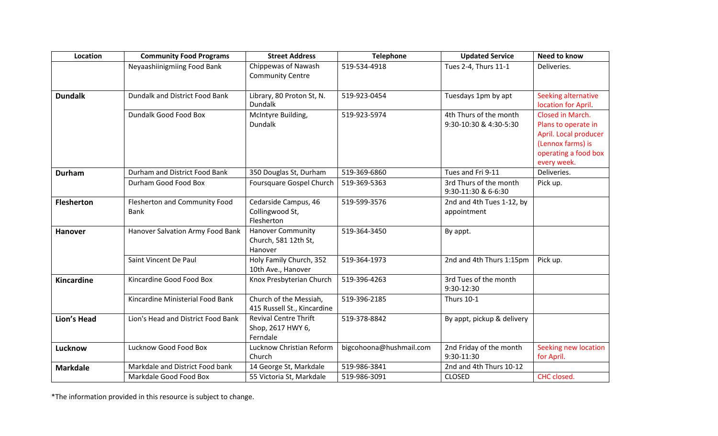| Location          | <b>Community Food Programs</b>               | <b>Street Address</b>                                         | <b>Telephone</b>        | <b>Updated Service</b>                           | <b>Need to know</b>                                                                                                          |
|-------------------|----------------------------------------------|---------------------------------------------------------------|-------------------------|--------------------------------------------------|------------------------------------------------------------------------------------------------------------------------------|
|                   | Neyaashiinigmiing Food Bank                  | Chippewas of Nawash<br><b>Community Centre</b>                | 519-534-4918            | Tues 2-4, Thurs 11-1                             | Deliveries.                                                                                                                  |
| <b>Dundalk</b>    | Dundalk and District Food Bank               | Library, 80 Proton St, N.<br><b>Dundalk</b>                   | 519-923-0454            | Tuesdays 1pm by apt                              | Seeking alternative<br>location for April.                                                                                   |
|                   | Dundalk Good Food Box                        | McIntyre Building,<br><b>Dundalk</b>                          | 519-923-5974            | 4th Thurs of the month<br>9:30-10:30 & 4:30-5:30 | Closed in March.<br>Plans to operate in<br>April. Local producer<br>(Lennox farms) is<br>operating a food box<br>every week. |
| <b>Durham</b>     | Durham and District Food Bank                | 350 Douglas St, Durham                                        | 519-369-6860            | Tues and Fri 9-11                                | Deliveries.                                                                                                                  |
|                   | Durham Good Food Box                         | Foursquare Gospel Church                                      | 519-369-5363            | 3rd Thurs of the month<br>9:30-11:30 & 6-6:30    | Pick up.                                                                                                                     |
| <b>Flesherton</b> | <b>Flesherton and Community Food</b><br>Bank | Cedarside Campus, 46<br>Collingwood St,<br>Flesherton         | 519-599-3576            | 2nd and 4th Tues 1-12, by<br>appointment         |                                                                                                                              |
| <b>Hanover</b>    | Hanover Salvation Army Food Bank             | <b>Hanover Community</b><br>Church, 581 12th St,<br>Hanover   | 519-364-3450            | By appt.                                         |                                                                                                                              |
|                   | Saint Vincent De Paul                        | Holy Family Church, 352<br>10th Ave., Hanover                 | 519-364-1973            | 2nd and 4th Thurs 1:15pm                         | Pick up.                                                                                                                     |
| Kincardine        | Kincardine Good Food Box                     | Knox Presbyterian Church                                      | 519-396-4263            | 3rd Tues of the month<br>9:30-12:30              |                                                                                                                              |
|                   | Kincardine Ministerial Food Bank             | Church of the Messiah,<br>415 Russell St., Kincardine         | 519-396-2185            | <b>Thurs 10-1</b>                                |                                                                                                                              |
| Lion's Head       | Lion's Head and District Food Bank           | <b>Revival Centre Thrift</b><br>Shop, 2617 HWY 6,<br>Ferndale | 519-378-8842            | By appt, pickup & delivery                       |                                                                                                                              |
| Lucknow           | Lucknow Good Food Box                        | Lucknow Christian Reform<br>Church                            | bigcohoona@hushmail.com | 2nd Friday of the month<br>9:30-11:30            | Seeking new location<br>for April.                                                                                           |
| <b>Markdale</b>   | Markdale and District Food bank              | 14 George St, Markdale                                        | 519-986-3841            | 2nd and 4th Thurs 10-12                          |                                                                                                                              |
|                   | Markdale Good Food Box                       | 55 Victoria St, Markdale                                      | 519-986-3091            | <b>CLOSED</b>                                    | CHC closed.                                                                                                                  |

\*The information provided in this resource is subject to change.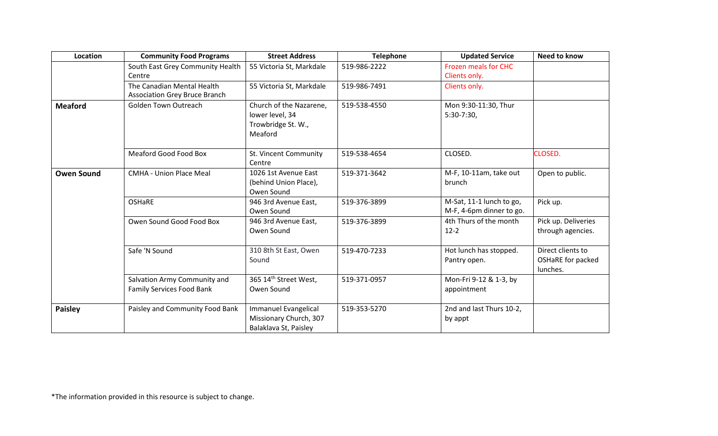| Location          | <b>Community Food Programs</b>                                     | <b>Street Address</b>                                                       | <b>Telephone</b> | <b>Updated Service</b>                               | Need to know                                       |
|-------------------|--------------------------------------------------------------------|-----------------------------------------------------------------------------|------------------|------------------------------------------------------|----------------------------------------------------|
|                   | South East Grey Community Health<br>Centre                         | 55 Victoria St, Markdale                                                    | 519-986-2222     | <b>Frozen meals for CHC</b><br>Clients only.         |                                                    |
|                   | The Canadian Mental Health<br><b>Association Grey Bruce Branch</b> | 55 Victoria St, Markdale                                                    | 519-986-7491     | Clients only.                                        |                                                    |
| <b>Meaford</b>    | <b>Golden Town Outreach</b>                                        | Church of the Nazarene,<br>lower level, 34<br>Trowbridge St. W.,<br>Meaford | 519-538-4550     | Mon 9:30-11:30, Thur<br>$5:30-7:30$                  |                                                    |
|                   | Meaford Good Food Box                                              | St. Vincent Community<br>Centre                                             | 519-538-4654     | CLOSED.                                              | CLOSED.                                            |
| <b>Owen Sound</b> | <b>CMHA - Union Place Meal</b>                                     | 1026 1st Avenue East<br>(behind Union Place),<br>Owen Sound                 | 519-371-3642     | M-F, 10-11am, take out<br>brunch                     | Open to public.                                    |
|                   | <b>OSHaRE</b>                                                      | 946 3rd Avenue East,<br>Owen Sound                                          | 519-376-3899     | M-Sat, 11-1 lunch to go,<br>M-F, 4-6pm dinner to go. | Pick up.                                           |
|                   | Owen Sound Good Food Box                                           | 946 3rd Avenue East,<br>Owen Sound                                          | 519-376-3899     | 4th Thurs of the month<br>$12 - 2$                   | Pick up. Deliveries<br>through agencies.           |
|                   | Safe 'N Sound                                                      | 310 8th St East, Owen<br>Sound                                              | 519-470-7233     | Hot lunch has stopped.<br>Pantry open.               | Direct clients to<br>OSHaRE for packed<br>lunches. |
|                   | Salvation Army Community and<br><b>Family Services Food Bank</b>   | 365 14th Street West,<br>Owen Sound                                         | 519-371-0957     | Mon-Fri 9-12 & 1-3, by<br>appointment                |                                                    |
| <b>Paisley</b>    | Paisley and Community Food Bank                                    | Immanuel Evangelical<br>Missionary Church, 307<br>Balaklava St, Paisley     | 519-353-5270     | 2nd and last Thurs 10-2,<br>by appt                  |                                                    |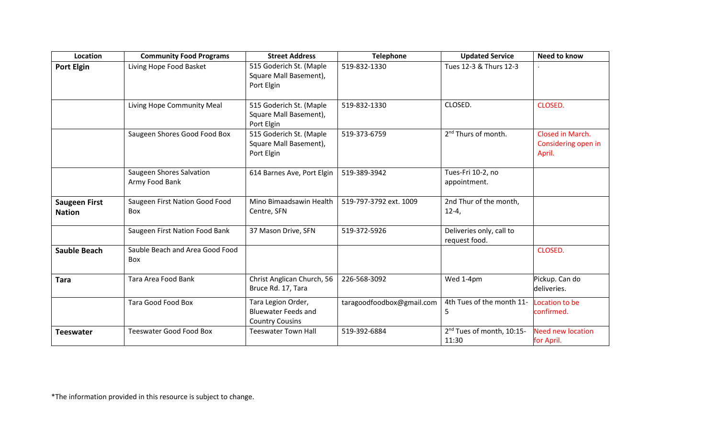| Location                              | <b>Community Food Programs</b>             | <b>Street Address</b>                                                      | <b>Telephone</b>          | <b>Updated Service</b>                         | Need to know                                      |
|---------------------------------------|--------------------------------------------|----------------------------------------------------------------------------|---------------------------|------------------------------------------------|---------------------------------------------------|
| <b>Port Elgin</b>                     | Living Hope Food Basket                    | 515 Goderich St. (Maple<br>Square Mall Basement),<br>Port Elgin            | 519-832-1330              | Tues 12-3 & Thurs 12-3                         |                                                   |
|                                       | Living Hope Community Meal                 | 515 Goderich St. (Maple<br>Square Mall Basement),<br>Port Elgin            | 519-832-1330              | CLOSED.                                        | CLOSED.                                           |
|                                       | Saugeen Shores Good Food Box               | 515 Goderich St. (Maple<br>Square Mall Basement),<br>Port Elgin            | 519-373-6759              | 2 <sup>nd</sup> Thurs of month.                | Closed in March.<br>Considering open in<br>April. |
|                                       | Saugeen Shores Salvation<br>Army Food Bank | 614 Barnes Ave, Port Elgin                                                 | 519-389-3942              | Tues-Fri 10-2, no<br>appointment.              |                                                   |
| <b>Saugeen First</b><br><b>Nation</b> | Saugeen First Nation Good Food<br>Box      | Mino Bimaadsawin Health<br>Centre, SFN                                     | 519-797-3792 ext. 1009    | 2nd Thur of the month,<br>$12 - 4,$            |                                                   |
|                                       | Saugeen First Nation Food Bank             | 37 Mason Drive, SFN                                                        | 519-372-5926              | Deliveries only, call to<br>request food.      |                                                   |
| <b>Sauble Beach</b>                   | Sauble Beach and Area Good Food<br>Box     |                                                                            |                           |                                                | CLOSED.                                           |
| <b>Tara</b>                           | Tara Area Food Bank                        | Christ Anglican Church, 56<br>Bruce Rd. 17, Tara                           | 226-568-3092              | Wed 1-4pm                                      | Pickup. Can do<br>deliveries.                     |
|                                       | Tara Good Food Box                         | Tara Legion Order,<br><b>Bluewater Feeds and</b><br><b>Country Cousins</b> | taragoodfoodbox@gmail.com | 4th Tues of the month 11-<br>5                 | Location to be<br>confirmed.                      |
| <b>Teeswater</b>                      | <b>Teeswater Good Food Box</b>             | <b>Teeswater Town Hall</b>                                                 | 519-392-6884              | 2 <sup>nd</sup> Tues of month, 10:15-<br>11:30 | <b>Need new location</b><br>for April.            |